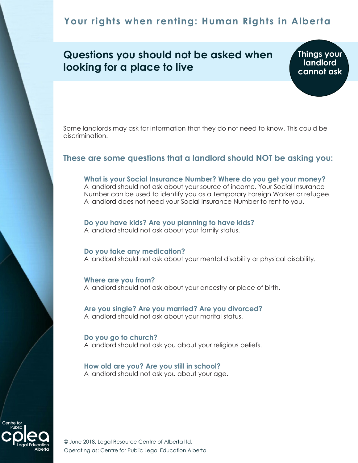# **Your rights when renting: Human Rights in Alberta**

## **Questions you should not be asked when looking for a place to live**

**Things your landlord cannot ask**

Some landlords may ask for information that they do not need to know. This could be discrimination.

## **These are some questions that a landlord should NOT be asking you:**

#### **What is your Social Insurance Number? Where do you get your money?**

A landlord should not ask about your source of income. Your Social Insurance Number can be used to identify you as a Temporary Foreign Worker or refugee. A landlord does not need your Social Insurance Number to rent to you.

#### **Do you have kids? Are you planning to have kids?**

A landlord should not ask about your family status.

#### **Do you take any medication?**

A landlord should not ask about your mental disability or physical disability.

**Where are you from?** A landlord should not ask about your ancestry or place of birth.

**Are you single? Are you married? Are you divorced?** A landlord should not ask about your marital status.

**Do you go to church?** A landlord should not ask you about your religious beliefs.

**How old are you? Are you still in school?** A landlord should not ask you about your age.



© June 2018, Legal Resource Centre of Alberta ltd. Operating as: Centre for Public Legal Education Alberta